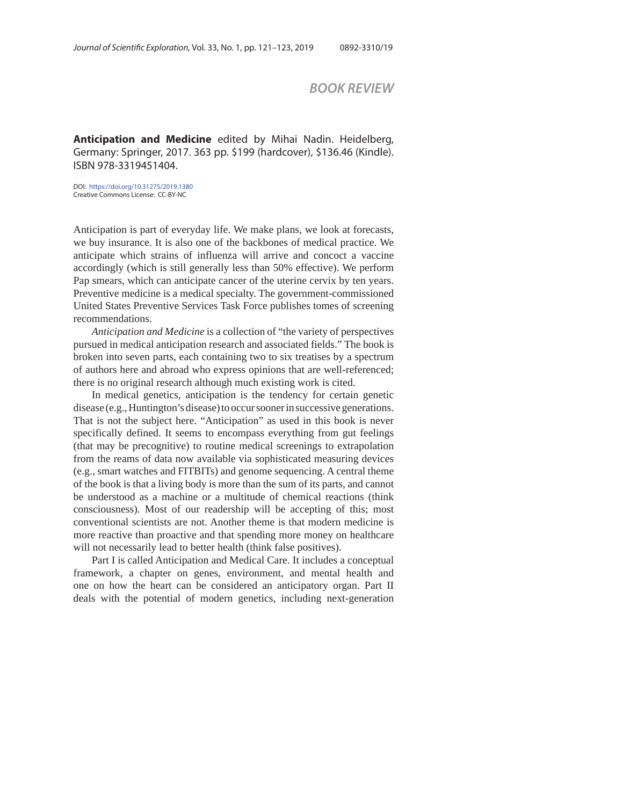## *BOOK REVIEW*

**Anticipation and Medicine** edited by Mihai Nadin. Heidelberg, Germany: Springer, 2017. 363 pp. \$199 (hardcover), \$136.46 (Kindle). ISBN 978-3319451404.

DOI: https://doi.org/10.31275/2019.1380 Creative Commons License: CC-BY-NC

Anticipation is part of everyday life. We make plans, we look at forecasts, we buy insurance. It is also one of the backbones of medical practice. We anticipate which strains of influenza will arrive and concoct a vaccine accordingly (which is still generally less than 50% effective). We perform Pap smears, which can anticipate cancer of the uterine cervix by ten years. Preventive medicine is a medical specialty. The government-commissioned United States Preventive Services Task Force publishes tomes of screening recommendations.

*Anticipation and Medicine* is a collection of "the variety of perspectives pursued in medical anticipation research and associated fields." The book is broken into seven parts, each containing two to six treatises by a spectrum of authors here and abroad who express opinions that are well-referenced; there is no original research although much existing work is cited.

In medical genetics, anticipation is the tendency for certain genetic disease (e.g., Huntington's disease) to occur sooner in successive generations. That is not the subject here. "Anticipation" as used in this book is never specifically defined. It seems to encompass everything from gut feelings (that may be precognitive) to routine medical screenings to extrapolation from the reams of data now available via sophisticated measuring devices (e.g., smart watches and FITBITs) and genome sequencing. A central theme of the book is that a living body is more than the sum of its parts, and cannot be understood as a machine or a multitude of chemical reactions (think consciousness). Most of our readership will be accepting of this; most conventional scientists are not. Another theme is that modern medicine is more reactive than proactive and that spending more money on healthcare will not necessarily lead to better health (think false positives).

Part I is called Anticipation and Medical Care. It includes a conceptual framework, a chapter on genes, environment, and mental health and one on how the heart can be considered an anticipatory organ. Part II deals with the potential of modern genetics, including next-generation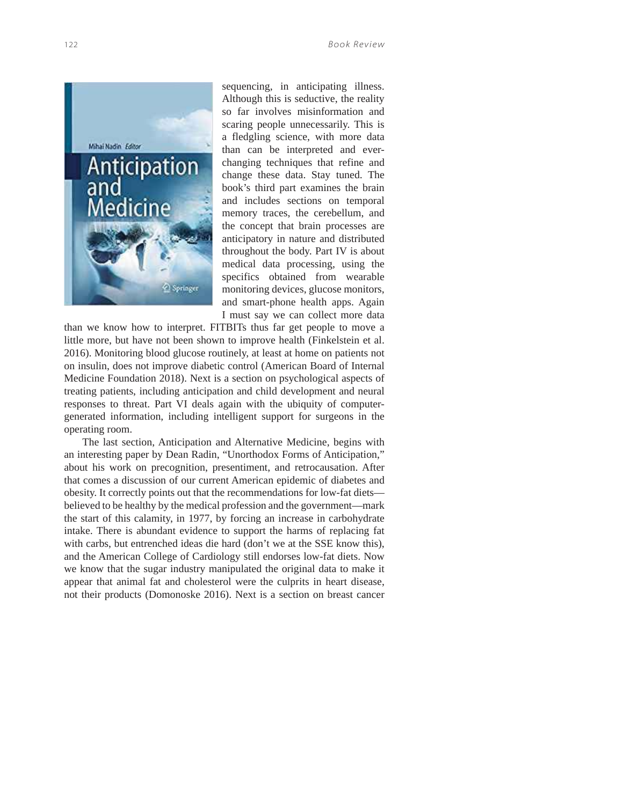

sequencing, in anticipating illness. Although this is seductive, the reality so far involves misinformation and scaring people unnecessarily. This is a fledgling science, with more data than can be interpreted and everchanging techniques that refine and change these data. Stay tuned. The book's third part examines the brain and includes sections on temporal memory traces, the cerebellum, and the concept that brain processes are anticipatory in nature and distributed throughout the body. Part IV is about medical data processing, using the specifics obtained from wearable monitoring devices, glucose monitors, and smart-phone health apps. Again I must say we can collect more data

than we know how to interpret. FITBITs thus far get people to move a little more, but have not been shown to improve health (Finkelstein et al. 2016). Monitoring blood glucose routinely, at least at home on patients not on insulin, does not improve diabetic control (American Board of Internal Medicine Foundation 2018). Next is a section on psychological aspects of treating patients, including anticipation and child development and neural responses to threat. Part VI deals again with the ubiquity of computergenerated information, including intelligent support for surgeons in the operating room.

The last section, Anticipation and Alternative Medicine, begins with an interesting paper by Dean Radin, "Unorthodox Forms of Anticipation," about his work on precognition, presentiment, and retrocausation. After that comes a discussion of our current American epidemic of diabetes and obesity. It correctly points out that the recommendations for low-fat diets believed to be healthy by the medical profession and the government—mark the start of this calamity, in 1977, by forcing an increase in carbohydrate intake. There is abundant evidence to support the harms of replacing fat with carbs, but entrenched ideas die hard (don't we at the SSE know this), and the American College of Cardiology still endorses low-fat diets. Now we know that the sugar industry manipulated the original data to make it appear that animal fat and cholesterol were the culprits in heart disease, not their products (Domonoske 2016). Next is a section on breast cancer